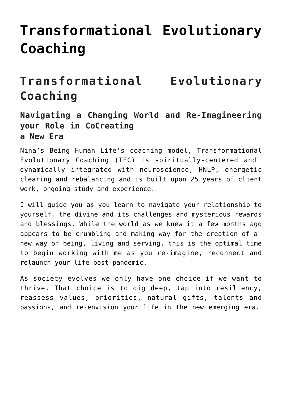# **[Transformational Evolutionary](https://beinghumanlife.com/work-with-nina/transformational-evolutionary-coaching/) [Coaching](https://beinghumanlife.com/work-with-nina/transformational-evolutionary-coaching/)**

# **Transformational Evolutionary Coaching**

#### **Navigating a Changing World and Re-Imagineering your Role in CoCreating a New Era**

Nina's Being Human Life's coaching model, Transformational Evolutionary Coaching (TEC) is spiritually-centered and dynamically integrated with neuroscience, HNLP, energetic clearing and rebalancing and is built upon 25 years of client work, ongoing study and experience.

I will guide you as you learn to navigate your relationship to yourself, the divine and its challenges and mysterious rewards and blessings. While the world as we knew it a few months ago appears to be crumbling and making way for the creation of a new way of being, living and serving, this is the optimal time to begin working with me as you re-imagine, reconnect and relaunch your life post-pandemic.

As society evolves we only have one choice if we want to thrive. That choice is to dig deep, tap into resiliency, reassess values, priorities, natural gifts, talents and passions, and re-envision your life in the new emerging era.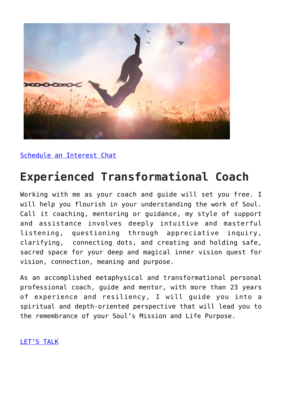

[Schedule an Interest Chat](http://beinghumanlife.com/contact/)

## **Experienced Transformational Coach**

Working with me as your coach and guide will set you free. I will help you flourish in your understanding the work of Soul. Call it coaching, mentoring or guidance, my style of support and assistance involves deeply intuitive and masterful listening, questioning through appreciative inquiry, clarifying, connecting dots, and creating and holding safe, sacred space for your deep and magical inner vision quest for vision, connection, meaning and purpose.

As an accomplished metaphysical and transformational personal professional coach, guide and mentor, with more than 23 years of experience and resiliency, I will guide you into a spiritual and depth-oriented perspective that will lead you to the remembrance of your Soul's Mission and Life Purpose.

[LET'S TALK](http://beinghumanlife.com/contact/)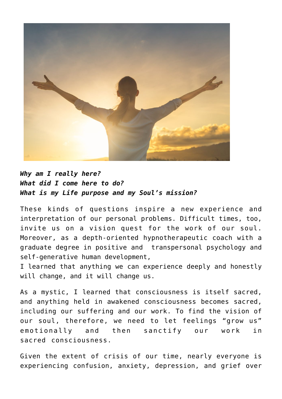

#### *Why am I really here? What did I come here to do? What is my Life purpose and my Soul's mission?*

These kinds of questions inspire a new experience and interpretation of our personal problems. Difficult times, too, invite us on a vision quest for the work of our soul. Moreover, as a depth-oriented hypnotherapeutic coach with a graduate degree in positive and transpersonal psychology and self-generative human development,

I learned that anything we can experience deeply and honestly will change, and it will change us.

As a mystic, I learned that consciousness is itself sacred, and anything held in awakened consciousness becomes sacred, including our suffering and our work. To find the vision of our soul, therefore, we need to let feelings "grow us" emotionally and then sanctify our work in sacred consciousness.

Given the extent of crisis of our time, nearly everyone is experiencing confusion, anxiety, depression, and grief over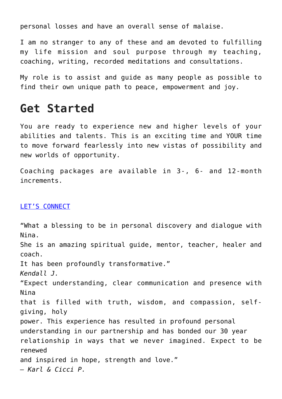personal losses and have an overall sense of malaise.

I am no stranger to any of these and am devoted to fulfilling my life mission and soul purpose through my teaching, coaching, writing, recorded meditations and consultations.

My role is to assist and guide as many people as possible to find their own unique path to peace, empowerment and joy.

### **Get Started**

You are ready to experience new and higher levels of your abilities and talents. This is an exciting time and YOUR time to move forward fearlessly into new vistas of possibility and new worlds of opportunity.

Coaching packages are available in 3-, 6- and 12-month increments.

#### [LET'S CONNECT](http://beinghumanlife.com/contact/)

"What a blessing to be in personal discovery and dialogue with Nina. She is an amazing spiritual guide, mentor, teacher, healer and coach. It has been profoundly transformative." *Kendall J.* "Expect understanding, clear communication and presence with Nina that is filled with truth, wisdom, and compassion, selfgiving, holy power. This experience has resulted in profound personal understanding in our partnership and has bonded our 30 year relationship in ways that we never imagined. Expect to be renewed and inspired in hope, strength and love." *– Karl & Cicci P.*